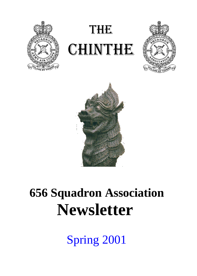

# **THE CHINTHE**





## **656 Squadron Association Newsletter**

Spring 2001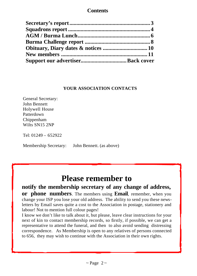#### **Contents**

#### **YOUR ASSOCIATION CONTACTS**

General Secretary: John Bennett Holywell House Patterdown Chippenham Wilts SN15 2NP

Tel: 01249 – 652922

Membership Secretary: John Bennett. (as above)

## **Please remember to**

**notify the membership secretary of any change of address, or phone numbers**. The members using **Email**, remember, when you change your ISP you lose your old address. The ability to send you these newsletters by Email saves quite a cost to the Association in postage, stationery and labour! Not to mention full colour pages!

I know we don't like to talk about it, but please, leave clear instructions for your next of kin to contact membership records, so firstly, if possible, we can get a representative to attend the funeral, and then to also avoid sending distressing correspondence. As Membership is open to any relatives of persons connected to 656, they may wish to continue with the Association in their own rights.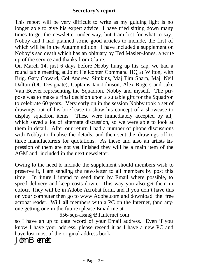This report will be very difficult to write as my guiding light is no longer able to give his expert advice. I have tried sitting down many times to get the newsletter under way, but I am lost for what to say. Nobby and I had planned some good articles to include, the first of which will be in the Autumn edition. I have included a supplement on Nobby's sad death which has an obituary by Ted Maslen-Jones, a write up of the service and thanks from Claire.

On March 14, just 6 days before Nobby hung up his cap, we had a round table meeting at Joint Helicopter Command HQ at Wilton, with Brig. Gary Coward, Col Andrew Simkins, Maj Tim Sharp, Maj. Neil Dalton (OC Designate), Captains Ian Johnson, Alex Rogers and Jake Van Beever representing the Squadron, Nobby and myself. The purpose was to make a final decision upon a suitable gift for the Squadron to celebrate 60 years. Very early on in the session Nobby took a set of drawings out of his brief-case to show his concept of a showcase to display squadron items. These were immediately accepted by all, which saved a lot of alternate discussion, so we were able to look at them in detail. After our return I had a number of phone discussions with Nobby to finalise the details, and then sent the drawings off to three manufacturers for quotations. As these and also an artists impression of them are not yet finished they will be a main item of the AGM and included in the next newsletter.

Owing to the need to include the supplement should members wish to preserve it, I am sending the newsletter to all members by post this time. In future I intend to send them by Email where possible, to speed delivery and keep costs down. This way you also get them in colour. They will be in Adobe Acrobat form, and if you don't have this on your computer then go to www.Adobe.com and download the free acrobat reader. Will **all** members with a PC on the Internet, (and anyone getting one in the future) please Email me at

656-sqn-assn@BTInternet.com

so I have an up to date record of your Email address. Even if you know I have your address, please resend it as I have a new PC and have lost most of the original address book.

John Bennett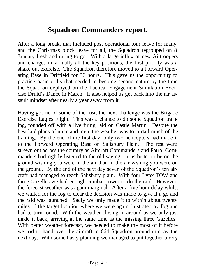### **Squadron Commanders report.**

After a long break, that included post operational tour leave for many, and the Christmas block leave for all, the Squadron regrouped on 8 January fresh and raring to go. With a large influx of new Airtroopers and changes in virtually all the key positions, the first priority was a shake out exercise. The Squadron therefore moved to a Forward Operating Base in Driffield for 36 hours. This gave us the opportunity to practice basic drills that needed to become second nature by the time the Squadron deployed on the Tactical Engagement Simulation Exercise Druid's Dance in March. It also helped us get back into the air assault mindset after nearly a year away from it.

Having got rid of some of the rust, the next challenge was the Brigade Exercise Eagles Flight. This was a chance to do some Squadron training, rounded off with a live firing raid on Castle Martin. Despite the best laid plans of mice and men, the weather was to curtail much of the training. By the end of the first day, only two helicopters had made it to the Forward Operating Base on Salisbury Plain. The rest were strewn out across the country as Aircraft Commanders and Patrol Commanders had rightly listened to the old saying  $-$  it is better to be on the ground wishing you were in the air than in the air wishing you were on the ground. By the end of the next day seven of the Squadron's ten aircraft had managed to reach Salisbury plain. With four Lynx TOW and three Gazelles we had enough combat power to do the raid. However, the forecast weather was again marginal. After a five hour delay whilst we waited for the fog to clear the decision was made to give it a go and the raid was launched. Sadly we only made it to within about twenty miles of the target location where we were again frustrated by fog and had to turn round. With the weather closing in around us we only just made it back, arriving at the same time as the missing three Gazelles. With better weather forecast, we needed to make the most of it before we had to hand over the aircraft to 664 Squadron around midday the next day. With some hasty planning we managed to put together a very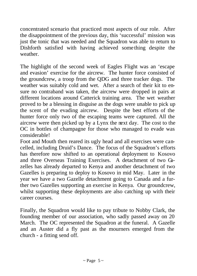concentrated scenario that practiced most aspects of our role. After the disappointment of the previous day, this 'successful' mission was just the tonic that was needed and the Squadron was able to return to Dishforth satisfied with having achieved some thing despite the weather.

The highlight of the second week of Eagles Flight was an 'escape and evasion' exercise for the aircrew. The hunter force consisted of the groundcrew, a troop from the QDG and three tracker dogs. The weather was suitably cold and wet. After a search of their kit to ensure no contraband was taken, the aircrew were dropped in pairs at different locations around Catterick training area. The wet weather proved to be a blessing in disguise as the dogs were unable to pick up the scent of the evading aircrew. Despite the best efforts of the hunter force only two of the escaping teams were captured. All the aircrew were then picked up by a Lynx the next day. The cost to the OC in bottles of champagne for those who managed to evade was considerable!

Foot and Mouth then reared its ugly head and all exercises were cancelled, including Druid's Dance. The focus of the Squadron's efforts has therefore now shifted to an operational deployment to Kosovo and three Overseas Training Exercises. A detachment of two Gazelles has already departed to Kenya and another detachment of two Gazelles is preparing to deploy to Kosovo in mid May. Later in the year we have a two Gazelle detachment going to Canada and a further two Gazelles supporting an exercise in Kenya. Our groundcrew, whilst supporting these deployments are also catching up with their career courses.

Finally, the Squadron would like to pay tribute to Nobby Clark, the founding member of our association, who sadly passed away on 20 March. The OC represented the Squadron at the funeral. A Gazelle and an Auster did a fly past as the mourners emerged from the church - a fitting send off.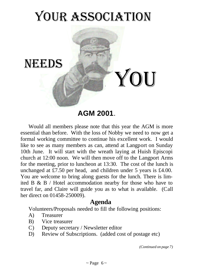## YOUR ASSOCIATION



**AGM 2001**.

Would all members please note that this year the AGM is more essential than before. With the loss of Nobby we need to now get a formal working committee to continue his excellent work. I would like to see as many members as can, attend at Langport on Sunday 10th June. It will start with the wreath laying at Huish Episcopi church at 12:00 noon. We will then move off to the Langport Arms for the meeting, prior to luncheon at 13:30. The cost of the lunch is unchanged at £7.50 per head, and children under 5 years is £4.00. You are welcome to bring along guests for the lunch. There is limited B & B / Hotel accommodation nearby for those who have to travel far, and Claire will guide you as to what is available. (Call her direct on 01458-250009).

#### **Agenda**

Volunteers/Proposals needed to fill the following positions:

- A) Treasurer
- B) Vice treasurer
- C) Deputy secretary / Newsletter editor
- D) Review of Subscriptions. (added cost of postage etc)

*(Continued on page 7)*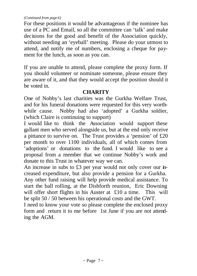#### *(Continued from page 6)*

For these positions it would be advantageous if the nominee has use of a PC and Email, so all the committee can 'talk' and make decisions for the good and benefit of the Association quickly, without needing an 'eyeball' meeting. Please do your utmost to attend, and notify me of numbers, enclosing a cheque for payment for the lunch, as soon as you can.

If you are unable to attend, please complete the proxy form. If you should volunteer or nominate someone, please ensure they are aware of it, and that they would accept the position should it be voted in.

#### **CHARITY**

One of Nobby's last charities was the Gurkha Welfare Trust, and for his funeral donations were requested for this very worthwhile cause. Nobby had also 'adopted' a Gurkha soldier, (which Claire is continuing to support)

I would like to think the Association would support these gallant men who served alongside us, but at the end only receive a pittance to survive on. The Trust provides a 'pension' of £20 per month to over 1100 individuals, all of which comes from 'adoptions' or donations to the fund. I would like to see a proposal from a member that we continue Nobby's work and donate to this Trust in whatever way we can.

An increase in subs to £3 per year would not only cover our increased expenditure, but also provide a pension for a Gurkha. Any other fund raising will help provide medical assistance. To start the ball rolling, at the Dishforth reunion, Eric Downing will offer short flights in his Auster at £10 a time. This will be split 50 / 50 between his operational costs and the GWT.

I need to know your vote so please complete the enclosed proxy form and return it to me before 1st June if you are not attending the AGM.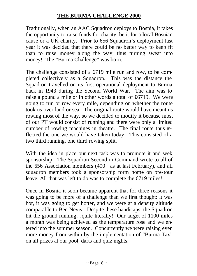#### **THE BURMA CHALLENGE 2000**

Traditionally, when an AAC Squadron deploys to Bosnia, it takes the opportunity to raise funds for charity, be it for a local Bosnian cause or a UK charity. Prior to 656 Squadron's deployment last year it was decided that there could be no better way to keep fit than to raise money along the way, thus turning sweat into money! The "Burma Challenge" was born.

The challenge consisted of a 6719 mile run and row, to be completed collectively as a Squadron. This was the distance the Squadron travelled on its first operational deployment to Burma back in 1943 during the Second World War. The aim was to raise a pound a mile or in other words a total of £6719. We were going to run or row every mile, depending on whether the route took us over land or sea. The original route would have meant us rowing most of the way, so we decided to modify it because most of our PT would consist of running and there were only a limited number of rowing machines in theatre. The final route thus reflected the one we would have taken today. This consisted of a two third running, one third rowing split.

With the idea in place our next task was to promote it and seek sponsorship. The Squadron Second in Command wrote to all of the 656 Association members (400+ as at last February), and all squadron members took a sponsorship form home on pre-tour leave. All that was left to do was to complete the 6719 miles!

Once in Bosnia it soon became apparent that for three reasons it was going to be more of a challenge than we first thought: it was hot, it was going to get hotter, and we were at a density altitude comparable to Ben Nevis! Despite these handicaps, the Squadron hit the ground running...quite literally! Our target of 1100 miles a month was being achieved as the temperature rose and we entered into the summer season. Concurrently we were raising even more money from within by the implementation of "Burma Tax" on all prizes at our pool, darts and quiz nights.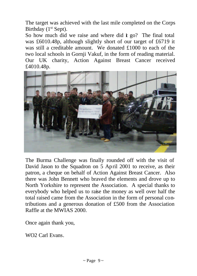The target was achieved with the last mile completed on the Corps Birthday  $(1<sup>st</sup>$  Sept).

So how much did we raise and where did  $\dot{\mathbf{r}}$  go? The final total was £6010.48p, although slightly short of our target of £6719 it was still a creditable amount. We donated £1000 to each of the two local schools in Gornji Vakuf, in the form of reading material. Our UK charity, Action Against Breast Cancer received £4010.48p.



The Burma Challenge was finally rounded off with the visit of David Jason to the Squadron on 5 April 2001 to receive, as their patron, a cheque on behalf of Action Against Breast Cancer. Also there was John Bennett who braved the elements and drove up to North Yorkshire to represent the Association. A special thanks to everybody who helped us to raise the money as well over half the total raised came from the Association in the form of personal contributions and a generous donation of £500 from the Association Raffle at the MWIAS 2000.

Once again thank you,

WO2 Carl Evans.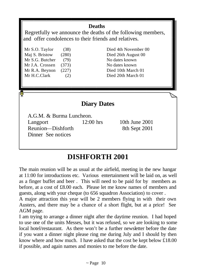#### **Deaths**

 Regretfully we announce the deaths of the following members, and offer condolences to their friends and relatives.

Mr S.O. Taylor (38) Died 4th November 00 Maj S. Bristow (280) Died 26th August 00 Mr S.G. Butcher (79) No dates known Mr J.A. Crossen (373) No dates known Mr R.A. Beynon (227) Died 10th March 01 Mr H.C.Clark (2) Died 20th March 01

### **Diary Dates**

A.G.M. & Burma Luncheon. Langport 12:00 hrs 10th June 2001 Reunion—Dishforth 8th Sept 2001 Dinner See notices

## **DISHFORTH 2001**

The main reunion will be as usual at the airfield, meeting in the new hangar at 11:00 for introductions etc. Various entertainment will be laid on, as well as a finger buffet and beer . This will need to be paid for by members as before, at a cost of £8.00 each. Please let me know names of members and guests, along with your cheque (to 656 squadron Association) to cover .

A major attraction this year will be 2 members flying in with their own Austers, and there may be a chance of a short flight, but at a price! See AGM page.

I am trying to arrange a dinner night after the daytime reunion. I had hoped to use one of the units Messes, but it was refused, so we are looking to some local hotel/restaurant. As there won't be a further newsletter before the date if you want a dinner night please ring me during July and I should by then know where and how much. I have asked that the cost be kept below £18.00 if possible, and again names and monies to me before the date.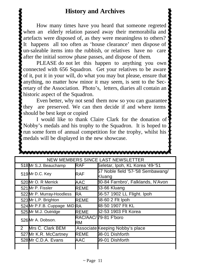How many times have you heard that someone regreted when an elderly relation passed away their memorabilia and  $\sharp$ artefacts were disposed of, as they were meaningless to others? It happens all too often as 'house clearance' men dispose of un-saleable items into the rubbish, or relatives have no care after the initial sorrow phase passes, and dispose of them.

PLEASE do not let this happen to anything you own connected with 656 Squadron. Get your relatives to be aware of it, put it in your will, do what you may but please, ensure that anything, no matter how minor it may seem, is sent to the Secretary of the Association. Photo's, letters, diaries all contain an historic aspect of the Squadron.

 Even better, why not send them now so you can guarantee they are preserved. We can then decide if and where items should be best kept or copied

 I would like to thank Claire Clark for the donation of Nobby's medals and his trophy to the Squadron. It is hoped to run some form of annual competition for the trophy, whilst his medals will be displayed in the new showcase.

| NEW MEMBERS SINCE LAST NEWSLETTER |                              |             |                                             |
|-----------------------------------|------------------------------|-------------|---------------------------------------------|
|                                   | 518 Mr S.J. Beauchamp        | RAF         | Seletar, Ipoh, KL Korea '49-'51             |
|                                   | 519 Mr D.C. Key              | RAF         | 57 Noble field '57-'58 Sembawang/<br>Kluang |
|                                   | 520 Mr O. R Merrick          | AAC         | 80-84 Farnbro', Falklands, N'Avon           |
|                                   | 521 Mr P. Fissler            | REME        | 63-66 Kluang                                |
|                                   | 522 Mr P. Murray-Hoodless    | RA          | 56-57 1902 LL Flight. Ipoh                  |
|                                   | 523 Mr L.P. Brighton         | <b>REME</b> | 58-60 2 Flt Ipoh                            |
|                                   | 524 Mr P.F.B. Cuppage MiD RA |             | 48-50 1907 Flt KL                           |
|                                   | 525 Mr M.J. Outridge         | REME        | 52-53 1903 Flt Korea                        |
|                                   | 526 Mr A. Dobson.            | RM          | RAC/AAC/79-81 F'boro                        |
| $\mathbf{2}$                      | Mrs C. Clark BEM             |             | Associate Keeping Nobby's place             |
|                                   | 527 Mr K.R. McCartney        | <b>REME</b> | 98-01 Dishforth                             |
|                                   | 528 Mr C.D.A. Evans          | AAC         | 99-01 Dishforth                             |
|                                   |                              |             |                                             |

**MAANAANAANAANAANAANAANAANAANAANAANAAN**